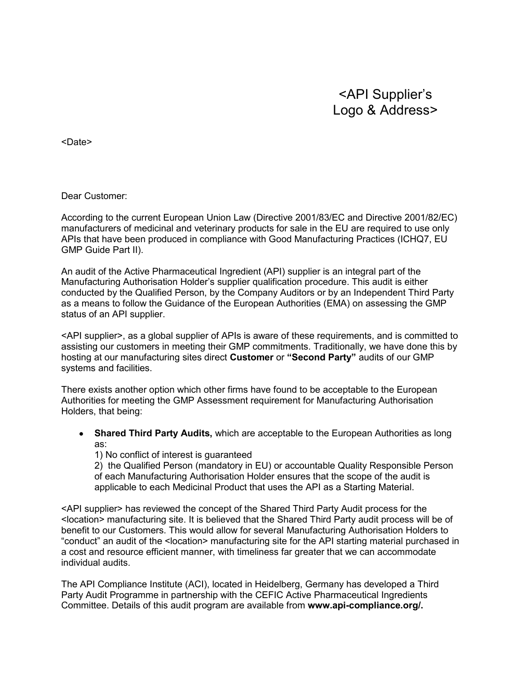## <API Supplier's Logo & Address>

<Date>

Dear Customer:

According to the current European Union Law (Directive 2001/83/EC and Directive 2001/82/EC) manufacturers of medicinal and veterinary products for sale in the EU are required to use only APIs that have been produced in compliance with Good Manufacturing Practices (ICHQ7, EU GMP Guide Part II).

An audit of the Active Pharmaceutical Ingredient (API) supplier is an integral part of the Manufacturing Authorisation Holder's supplier qualification procedure. This audit is either conducted by the Qualified Person, by the Company Auditors or by an Independent Third Party as a means to follow the Guidance of the European Authorities (EMA) on assessing the GMP status of an API supplier.

<API supplier>, as a global supplier of APIs is aware of these requirements, and is committed to assisting our customers in meeting their GMP commitments. Traditionally, we have done this by hosting at our manufacturing sites direct **Customer** or **"Second Party"** audits of our GMP systems and facilities.

There exists another option which other firms have found to be acceptable to the European Authorities for meeting the GMP Assessment requirement for Manufacturing Authorisation Holders, that being:

**Shared Third Party Audits,** which are acceptable to the European Authorities as long  $\bullet$ as:

1) No conflict of interest is guaranteed

2) the Qualified Person (mandatory in EU) or accountable Quality Responsible Person of each Manufacturing Authorisation Holder ensures that the scope of the audit is applicable to each Medicinal Product that uses the API as a Starting Material.

<API supplier> has reviewed the concept of the Shared Third Party Audit process for the <location> manufacturing site. It is believed that the Shared Third Party audit process will be of benefit to our Customers. This would allow for several Manufacturing Authorisation Holders to "conduct" an audit of the <location> manufacturing site for the API starting material purchased in a cost and resource efficient manner, with timeliness far greater that we can accommodate individual audits.

The API Compliance Institute (ACI), located in Heidelberg, Germany has developed a Third Party Audit Programme in partnership with the CEFIC Active Pharmaceutical Ingredients Committee. Details of this audit program are available from **www.api-compliance.org/.**